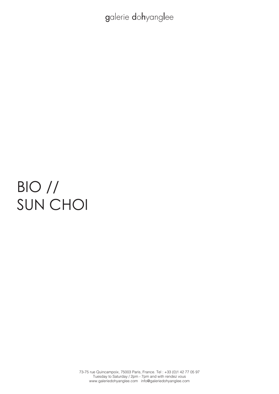# BIO // SUN CHOI

73-75 rue Quincampoix, 75003 Paris, France. Tel : +33 (0)1 42 77 05 97 Tuesday to Saturday / 2pm - 7pm and with rendez vous www.galeriedohyanglee.com info@galeriedohyanglee.com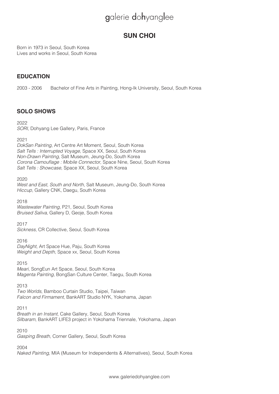# **SUN CHOI**

Born in 1973 in Seoul, South Korea Lives and works in Seoul, South Korea

### **EDUCATION**

2003 - 2006 Bachelor of Fine Arts in Painting, Hong-Ik University, Seoul, South Korea

## **SOLO SHOWS**

2022 *SORI*, Dohyang Lee Gallery, Paris, France

2021

*DokSan Painting*, Art Centre Art Moment, Seoul, South Korea *Salt Tells : Interrupted Voyage*, Space XX, Seoul, South Korea *Non-Drawn Painting*, Salt Museum, Jeung-Do, South Korea Corona Camouflage : Mobile Connector, Space Nine, Seoul, South Korea Salt Tells : Showcase, Space XX, Seoul, South Korea

2020 *West and East, South and North*, Salt Museum, Jeung-Do, South Korea Hiccup, Gallery CNK, Daegu, South Korea

2018 *Wastewater Painting*, P21, Seoul, South Korea *Bruised Saliva*, Gallery D, Geoje, South Korea

2017 Sickness, CR Collective, Seoul, South Korea

2016 *DayNight*, Art Space Hue, Paju, South Korea *Weight and Depth*, Space xx, Seoul, South Korea

2015

Meari, SongEun Art Space, Seoul, South Korea Magenta Painting, BongSan Culture Center, Taegu, South Korea

2013

*Two Worlds*, Bamboo Curtain Studio, Taipei, Taiwan Falcon and Firmament, BankART Studio NYK, Yokohama, Japan

2011

*Breath in an Instant*, Cake Gallery, Seoul, South Korea Silbaram, BankART LIFE3 project in Yokohama Triennale, Yokohama, Japan

2010

*Gasping Breath*, Corner Gallery, Seoul, South Korea

2004

*Naked Painting*, MIA (Museum for Independents & Alternatives), Seoul, South Korea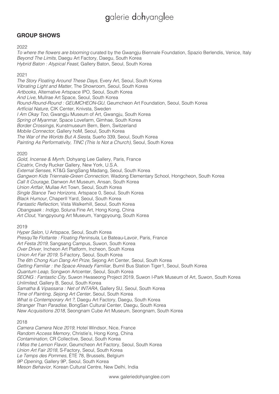### **GROUP SHOWS**

#### 2022

To where the flowers are blooming curated by the Gwangju Biennale Foundation, Spazio Berlendis, Venice, Italy *Beyond The Limits*, Daegu Art Factory, Daegu, South Korea Hybrid Baton : Atypical Feast, Gallery Baton, Seoul, South Korea

2021

The Story Floating Around These Days, Every Art, Seoul, South Korea Vibrating Light and Matter, The Showroom, Seoul, South Korea Artbooks, Alternative Artspace IPO, Seoul, South Korea And Live, Mullrae Art Space, Seoul, South Korea Round-Round-Round : GEUMCHEON-GU, Geumcheon Art Foundation, Seoul, South Korea Artficial Nature, CIK Center, Knivsta, Sweden I Am Okay Too, Gwangju Museum of Art, Gwangju, South Korea Spring of Myanmar, Space Lovefarm, Gimhae, South Korea *Border Crossings*, Kunstmuseum Bern, Bern, Switzerland Mobile Connector, Gallery hoM, Seoul, South Korea The War of the Worlds But A Siesta, Sueño 339, Seoul, South Korea Painting As Performativity, TINC (This Is Not a Church), Seoul, South Korea

#### 2020

Gold, Incense & Myrrh, Dohyang Lee Gallery, Paris, France Cicatrix, Cindy Rucker Gallery, New York, U.S.A. External Senses, KT&G SangSang Madang, Seoul, South Korea Gangwon Kids Triennale-Green Connection, Wadong Elementary School, Hongcheon, South Korea *Call It Courage*, Danwon Art Museum, Ansan, South Korea Union Artfair, Mullae Art Town, Seoul, South Korea Single Stance Two Horizons, Artspace 0, Seoul, South Korea Black Humour, ChaperII Yard, Seoul, South Korea Fantastic Reflection, Vista Walkerhill, Seoul, South Korea Obangsaek : Indigo, Soluna Fine Art, Hong Kong, China Art Clout, Yangpyoung Art Museum, Yangpyoung, South Korea

2019

*Hyper Salon*, U Artspace, Seoul, South Korea *Presqu'île Flottante : Floating Peninsula*, Le Bateau-Lavoir, Paris, France Art Festa 2019, Sangsang Campus, Suwon, South Korea *Over Driver*, Incheon Art Platform, Incheon, South Korea Union Art Fair 2019, S-Factory, Seoul, South Korea The 6th Chong Kun Dang Art Prize, Sejong Art Center, Seoul, South Korea Getting Familiar : the Space Already Familiar, Bumil Bus Station Tiger1, Seoul, South Korea *Quantum Leap*, Songwon Artcenter, Seoul, South Korea SEONG : Fantastic City, Suwon Hwaseong Project 2019, Suwon I-Park Museum of Art, Suwon, South Korea *Unlimited*, Gallery B, Seoul, South Korea Samatha & Vipassana : Net of INTARA, Gallery SU, Seoul, South Korea Time of Painting, Sejong Art Center, Seoul, South Korea What is Contemporary Art ?, Daegu Art Factory, Daegu, South Korea *Stranger Than Paradise*, BongSan Cultural Center, Daegu, South Korea New Acquisitions 2018, Seongnam Cube Art Museum, Seongnam, South Korea

#### 2018

Camera Camera Nice 2019, Hotel Windsor, Nice, France Random Access Memory, Christie's, Hong Kong, China *Contamination*, CR Collective, Seoul, South Korea I Miss the Lemon Flavor, Geumcheon Art Factory, Seoul, South Korea Union Art Fair 2018, S-Factory, Seoul, South Korea *Le Temps des Pommes*, ÉTÉ 78, Brussels, Belgium 9P Opening, Gallery 9P, Seoul, South Korea Meson Behavior, Korean Cultural Centre, New Delhi, India

www.galeriedohyanglee.com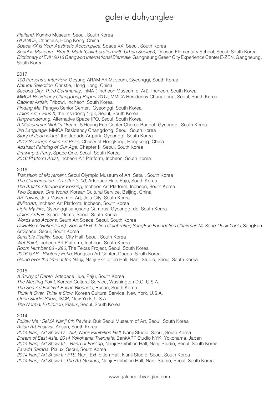*Flatland*, Kumho Museum, Seoul, South Korea GLANCE, Christie's, Hong Kong, China Space XX is Your Aesthetic Accomplice, Space XX, Seoul, South Korea Seoul is Museum : Breath Mark (Collaboration with Urban Society), Doosan Elementary School, Seoul, South Korea Dictionary of Evil: 2018 Gangwon International Biennale, Gangneung Green City Experience Center E-ZEN, Gangneung, South Korea

#### 2017

100 Persons's Interview, Goyang ARAM Art Museum, Gyeonggi, South Korea Natural Selection, Christie, Hong Kong, China Second City, Third Community, InMA (Incheon Museum of Art), Incheon, South Korea MMCA Residency Changdong Report 2017, MMCA Residency Changdong, Seoul, South Korea Cabinet Artfair, Tribowl, Incheon, South Korea Finding Me, Pangyo Senior Center, Gyeonggi, South Korea Union  $Art + Plus X$ , the Insadong 1-gil, Seoul, South Korea *Ringwanderung*, Alternative Space IPO, Seoul, South Korea A Midsummer Night's Dream, SiHeung Eco Center Chorok Baegot, Gyeonggi, South Korea *3rd Language*, MMCA Residency Changdong, Seoul, South Korea Story of Jebu island, the Jebudo Artpark, Gyeonggi, South Korea 2017 Soverign Asian Art Prize, Christy of Hongkong, Hongkong, China Abstract Painting of Our Age, Chapter II, Seoul, South Korea Drawing & Party, Space One, Seoul, South Korea 2016 Platform Artist, Incheon Art Platform, Incheon, South Korea

#### 2016

Transition of Movement, Seoul Olympic Museum of Art, Seoul, South Korea The Conversation : A Letter to 00, Artspace Hue, Paju, South Korea The Artist's Attitude for working, Incheon Art Platform, Incheon, South Korea Two Scapes, One World, Korean Cultural Service, Beijing, China AR Towns, Jeju Museum of Art, Jeju City, South Korea #MindArt, Incheon Art Platform, Incheon, South Korea Light My Fire, Gyeonggi sangsang Campus, Gyeonggi-do, South Korea Union ArtFair, Space Nemo, Seoul, South Korea Words and Actions, Seum Art Space, Seoul, South Korea DoRaBom (Reflections) : Special Exhibition Celebrating SongEun Foundation Chairman Mr Sang-Duck Yoo's, SongEun ArtSpace, Seoul, South Korea Sensible Reality, Seoul City Hall, Seoul, South Korea *Wet Paint*, Incheon Art Platform, Incheon, South Korea Room Number 88 - 290, The Texas Project, Seoul, South Korea 2016 GAP - Photon / Echo, Bongsan Art Center, Daegu, South Korea *Going over the time at the Nanji*, Nanji Exhibition Hall, Nanji Studio, Seoul, South Korea

#### 2015

A Study of Depth, Artspace Hue, Paju, South Korea The Meeting Point, Korean Cultural Service, Washington D.C, U.S.A. The Sea Art Festival-Busan Biennale, Busan, South Korea *Think It Over, Think It Slow*, Korean Cultural Service, New York, U.S.A. *Open Studio Show*, ISCP, New York, U.S.A. The Normal Exhibition, Pialux, Seoul, South Korea

#### 2014

Follow Me : SeMA Nanji 8th Review, Buk Seoul Museum of Art, Seoul, South Korea Asian Art Festival, Ansan, South Korea 2014 Nanji Art Show IV : AIA, Nanji Exhibition Hall, Nanji Studio, Seoul, South Korea Dream of East Asia, 2014 Yokohama Triennale, BankART Studio NYK, Yokohama, Japan 2014 Nanji Art Show III : Band of Feeling, Nanji Exhibition Hall, Nanji Studio, Seoul, South Korea *Parada Sarada*, Pialux, Seoul, South Korea 2014 Nanji Art Show II : FTS, Nanji Exhibition Hall, Nanji Studio, Seoul, South Korea 2014 Nanji Art Show I: The Art Gusture, Nanji Exhibition Hall, Nanji Studio, Seoul, South Korea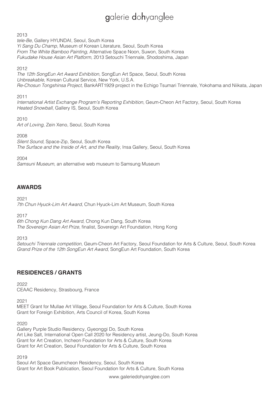2013

*tele-Be*, Gallery HYUNDAI, Seoul, South Korea Yi Sang Du Champ, Museum of Korean Literature, Seoul, South Korea From The White Bamboo Painting, Alternative Space Noon, Suwon, South Korea Fukudake House Asian Art Platform, 2013 Setouchi Triennale, Shodoshima, Japan

2012

The 12th SongEun Art Award Exhibition, SongEun Art Space, Seoul, South Korea Unbreakable, Korean Cultural Service, New York, U.S.A. Re-Chosun Tongshinsa Project, BankART1929 project in the Echigo Tsumari Triennale, Yokohama and Niikata, Japan

2011

International Artist Exchange Program's Reporting Exhibition, Geum-Cheon Art Factory, Seoul, South Korea Heated Snowball, Gallery IS, Seoul, South Korea

2010 Art of Loving, Zein Xeno, Seoul, South Korea

2008

*Silent Sound*, Space-Zip, Seoul, South Korea The Surface and the Inside of Art, and the Reality, Insa Gallery, Seoul, South Korea

2004

Samsuni Museum, an alternative web museum to Samsung Museum

### **AWARDS**

2021

7th Chun Hyuck-Lim Art Award, Chun Hyuck-Lim Art Museum, South Korea

2017

6th Chong Kun Dang Art Award, Chong Kun Dang, South Korea The Sovereign Asian Art Prize, finalist, Sovereign Art Foundation, Hong Kong

2013

Setouchi Triennale competition, Geum-Cheon Art Factory, Seoul Foundation for Arts & Culture, Seoul, South Korea Grand Prize of the 12th SongEun Art Award, SongEun Art Foundation, South Korea

### **RESIDENCES / GRANTS**

2022

CEAAC Residency, Strasbourg, France

2021

MEET Grant for Mullae Art Village, Seoul Foundation for Arts & Culture, South Korea Grant for Foreign Exhibition, Arts Council of Korea, South Korea

2020

Gallery Purple Studio Residency, Gyeonggi Do, South Korea Art Like Salt, International Open Call 2020 for Residency artist, Jeung-Do, South Korea Grant for Art Creation, Incheon Foundation for Arts & Culture, South Korea Grant for Art Creation, Seoul Foundation for Arts & Culture, South Korea

2019

Seoul Art Space Geumcheon Residency, Seoul, South Korea Grant for Art Book Publication, Seoul Foundation for Arts & Culture, South Korea

www.galeriedohyanglee.com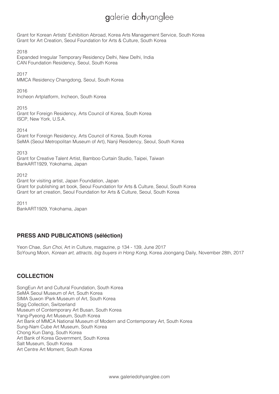Grant for Korean Artists' Exhibition Abroad, Korea Arts Management Service, South Korea Grant for Art Creation, Seoul Foundation for Arts & Culture, South Korea

2018

Expanded Irregular Temporary Residency Delhi, New Delhi, India CAN Foundation Residency, Seoul, South Korea

2017

MMCA Residency Changdong, Seoul, South Korea

2016

Incheon Artplatform, Incheon, South Korea

2015

Grant for Foreign Residency, Arts Council of Korea, South Korea ISCP, New York, U.S.A.

2014

Grant for Foreign Residency, Arts Council of Korea, South Korea SeMA (Seoul Metropolitan Museum of Art), Nanji Residency, Seoul, South Korea

2013

Grant for Creative Talent Artist, Bamboo Curtain Studio, Taipei, Taiwan BankART1929, Yokohama, Japan

2012

Grant for visiting artist, Japan Foundation, Japan Grant for publishing art book, Seoul Foundation for Arts & Culture, Seoul, South Korea Grant for art creation, Seoul Foundation for Arts & Culture, Seoul, South Korea

2011 BankART1929, Yokohama, Japan

# **PRESS AND PUBLICATIONS (séléction)**

Yeon Chae, *Sun Choi*, Art in Culture, magazine, p 134 - 139, June 2017 SoYoung Moon, Korean art, attracts, big buyers in Hong Kong, Korea Joongang Daily, November 28th, 2017

### **COLLECTION**

SongEun Art and Cultural Foundation, South Korea SeMA Seoul Museum of Art, South Korea SIMA Suwon IPark Museum of Art, South Korea Sigg Collection, Switzerland Museum of Contemporary Art Busan, South Korea Yang-Pyeong Art Museum, South Korea Art Bank of MMCA National Museum of Modern and Contemporary Art, South Korea Sung-Nam Cube Art Museum, South Korea Chong Kun Dang, South Korea Art Bank of Korea Government, South Korea Salt Museum, South Korea Art Centre Art Moment, South Korea